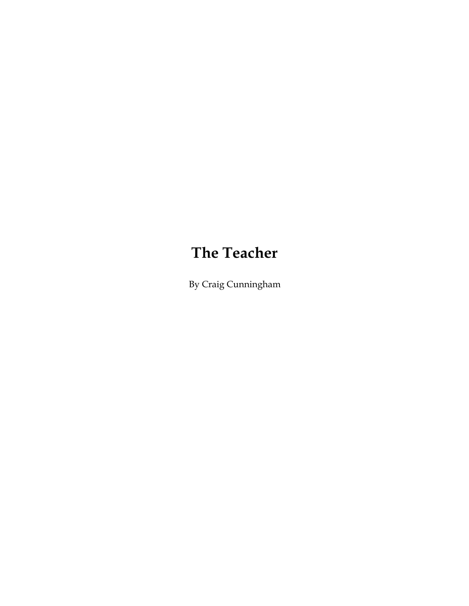# **The Teacher**

By Craig Cunningham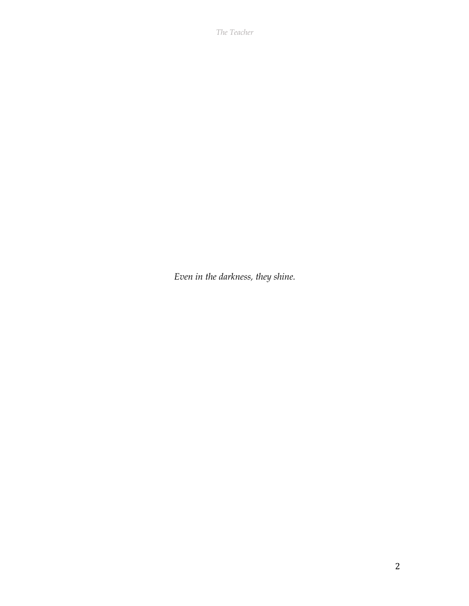*The Teacher*

*Even in the darkness, they shine.*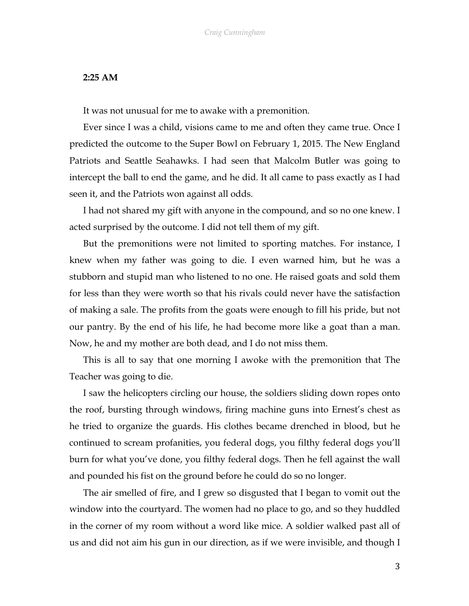## **2:25 AM**

It was not unusual for me to awake with a premonition.

Ever since I was a child, visions came to me and often they came true. Once I predicted the outcome to the Super Bowl on February 1, 2015. The New England Patriots and Seattle Seahawks. I had seen that Malcolm Butler was going to intercept the ball to end the game, and he did. It all came to pass exactly as I had seen it, and the Patriots won against all odds.

I had not shared my gift with anyone in the compound, and so no one knew. I acted surprised by the outcome. I did not tell them of my gift.

But the premonitions were not limited to sporting matches. For instance, I knew when my father was going to die. I even warned him, but he was a stubborn and stupid man who listened to no one. He raised goats and sold them for less than they were worth so that his rivals could never have the satisfaction of making a sale. The profits from the goats were enough to fill his pride, but not our pantry. By the end of his life, he had become more like a goat than a man. Now, he and my mother are both dead, and I do not miss them.

This is all to say that one morning I awoke with the premonition that The Teacher was going to die.

I saw the helicopters circling our house, the soldiers sliding down ropes onto the roof, bursting through windows, firing machine guns into Ernest's chest as he tried to organize the guards. His clothes became drenched in blood, but he continued to scream profanities, you federal dogs, you filthy federal dogs you'll burn for what you've done, you filthy federal dogs. Then he fell against the wall and pounded his fist on the ground before he could do so no longer.

The air smelled of fire, and I grew so disgusted that I began to vomit out the window into the courtyard. The women had no place to go, and so they huddled in the corner of my room without a word like mice. A soldier walked past all of us and did not aim his gun in our direction, as if we were invisible, and though I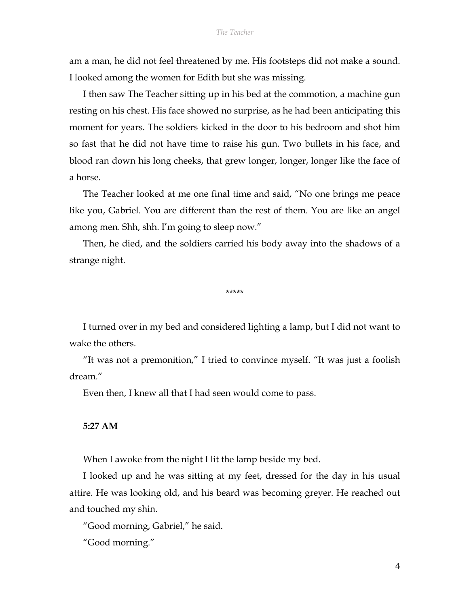am a man, he did not feel threatened by me. His footsteps did not make a sound. I looked among the women for Edith but she was missing.

I then saw The Teacher sitting up in his bed at the commotion, a machine gun resting on his chest. His face showed no surprise, as he had been anticipating this moment for years. The soldiers kicked in the door to his bedroom and shot him so fast that he did not have time to raise his gun. Two bullets in his face, and blood ran down his long cheeks, that grew longer, longer, longer like the face of a horse.

The Teacher looked at me one final time and said, "No one brings me peace like you, Gabriel. You are different than the rest of them. You are like an angel among men. Shh, shh. I'm going to sleep now."

Then, he died, and the soldiers carried his body away into the shadows of a strange night.

\*\*\*\*\*

I turned over in my bed and considered lighting a lamp, but I did not want to wake the others.

"It was not a premonition," I tried to convince myself. "It was just a foolish dream."

Even then, I knew all that I had seen would come to pass.

## **5:27 AM**

When I awoke from the night I lit the lamp beside my bed.

I looked up and he was sitting at my feet, dressed for the day in his usual attire. He was looking old, and his beard was becoming greyer. He reached out and touched my shin.

"Good morning, Gabriel," he said.

"Good morning."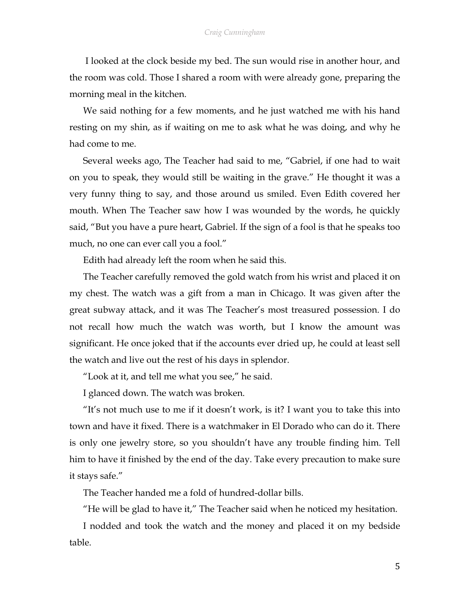I looked at the clock beside my bed. The sun would rise in another hour, and the room was cold. Those I shared a room with were already gone, preparing the morning meal in the kitchen.

We said nothing for a few moments, and he just watched me with his hand resting on my shin, as if waiting on me to ask what he was doing, and why he had come to me.

Several weeks ago, The Teacher had said to me, "Gabriel, if one had to wait on you to speak, they would still be waiting in the grave." He thought it was a very funny thing to say, and those around us smiled. Even Edith covered her mouth. When The Teacher saw how I was wounded by the words, he quickly said, "But you have a pure heart, Gabriel. If the sign of a fool is that he speaks too much, no one can ever call you a fool."

Edith had already left the room when he said this.

The Teacher carefully removed the gold watch from his wrist and placed it on my chest. The watch was a gift from a man in Chicago. It was given after the great subway attack, and it was The Teacher's most treasured possession. I do not recall how much the watch was worth, but I know the amount was significant. He once joked that if the accounts ever dried up, he could at least sell the watch and live out the rest of his days in splendor.

"Look at it, and tell me what you see," he said.

I glanced down. The watch was broken.

"It's not much use to me if it doesn't work, is it? I want you to take this into town and have it fixed. There is a watchmaker in El Dorado who can do it. There is only one jewelry store, so you shouldn't have any trouble finding him. Tell him to have it finished by the end of the day. Take every precaution to make sure it stays safe."

The Teacher handed me a fold of hundred-dollar bills.

"He will be glad to have it," The Teacher said when he noticed my hesitation.

I nodded and took the watch and the money and placed it on my bedside table.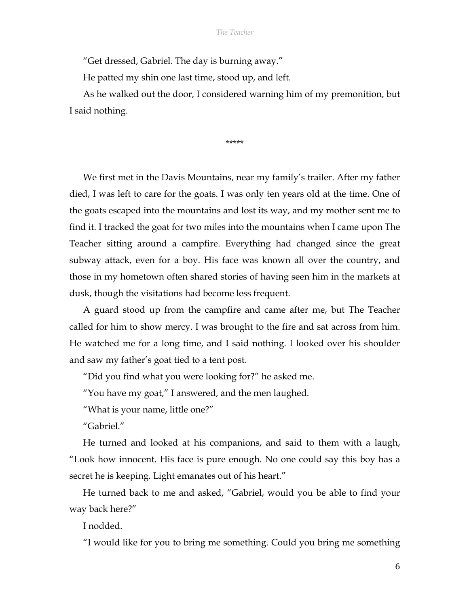"Get dressed, Gabriel. The day is burning away."

He patted my shin one last time, stood up, and left.

As he walked out the door, I considered warning him of my premonition, but I said nothing.

\*\*\*\*\*

We first met in the Davis Mountains, near my family's trailer. After my father died, I was left to care for the goats. I was only ten years old at the time. One of the goats escaped into the mountains and lost its way, and my mother sent me to find it. I tracked the goat for two miles into the mountains when I came upon The Teacher sitting around a campfire. Everything had changed since the great subway attack, even for a boy. His face was known all over the country, and those in my hometown often shared stories of having seen him in the markets at dusk, though the visitations had become less frequent.

A guard stood up from the campfire and came after me, but The Teacher called for him to show mercy. I was brought to the fire and sat across from him. He watched me for a long time, and I said nothing. I looked over his shoulder and saw my father's goat tied to a tent post.

"Did you find what you were looking for?" he asked me.

"You have my goat," I answered, and the men laughed.

"What is your name, little one?"

"Gabriel."

He turned and looked at his companions, and said to them with a laugh, "Look how innocent. His face is pure enough. No one could say this boy has a secret he is keeping. Light emanates out of his heart."

He turned back to me and asked, "Gabriel, would you be able to find your way back here?"

I nodded.

"I would like for you to bring me something. Could you bring me something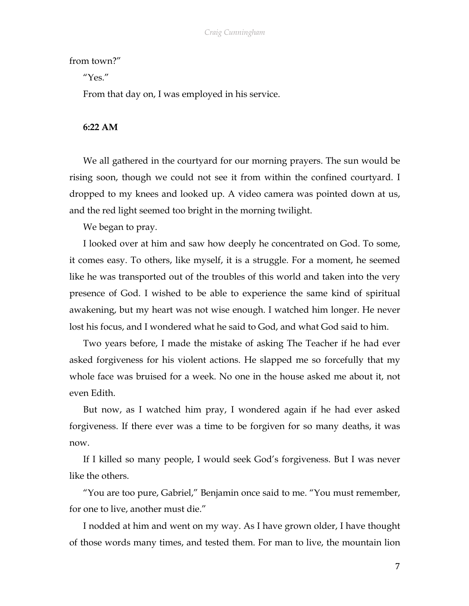## from town?"

" $Yes$ "

From that day on, I was employed in his service.

**6:22 AM**

We all gathered in the courtyard for our morning prayers. The sun would be rising soon, though we could not see it from within the confined courtyard. I dropped to my knees and looked up. A video camera was pointed down at us, and the red light seemed too bright in the morning twilight.

We began to pray.

I looked over at him and saw how deeply he concentrated on God. To some, it comes easy. To others, like myself, it is a struggle. For a moment, he seemed like he was transported out of the troubles of this world and taken into the very presence of God. I wished to be able to experience the same kind of spiritual awakening, but my heart was not wise enough. I watched him longer. He never lost his focus, and I wondered what he said to God, and what God said to him.

Two years before, I made the mistake of asking The Teacher if he had ever asked forgiveness for his violent actions. He slapped me so forcefully that my whole face was bruised for a week. No one in the house asked me about it, not even Edith.

But now, as I watched him pray, I wondered again if he had ever asked forgiveness. If there ever was a time to be forgiven for so many deaths, it was now.

If I killed so many people, I would seek God's forgiveness. But I was never like the others.

"You are too pure, Gabriel," Benjamin once said to me. "You must remember, for one to live, another must die."

I nodded at him and went on my way. As I have grown older, I have thought of those words many times, and tested them. For man to live, the mountain lion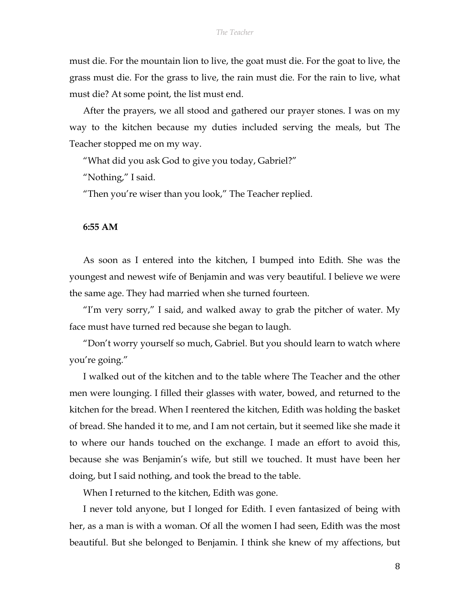must die. For the mountain lion to live, the goat must die. For the goat to live, the grass must die. For the grass to live, the rain must die. For the rain to live, what must die? At some point, the list must end.

After the prayers, we all stood and gathered our prayer stones. I was on my way to the kitchen because my duties included serving the meals, but The Teacher stopped me on my way.

"What did you ask God to give you today, Gabriel?"

"Nothing," I said.

"Then you're wiser than you look," The Teacher replied.

**6:55 AM**

As soon as I entered into the kitchen, I bumped into Edith. She was the youngest and newest wife of Benjamin and was very beautiful. I believe we were the same age. They had married when she turned fourteen.

"I'm very sorry," I said, and walked away to grab the pitcher of water. My face must have turned red because she began to laugh.

"Don't worry yourself so much, Gabriel. But you should learn to watch where you're going."

I walked out of the kitchen and to the table where The Teacher and the other men were lounging. I filled their glasses with water, bowed, and returned to the kitchen for the bread. When I reentered the kitchen, Edith was holding the basket of bread. She handed it to me, and I am not certain, but it seemed like she made it to where our hands touched on the exchange. I made an effort to avoid this, because she was Benjamin's wife, but still we touched. It must have been her doing, but I said nothing, and took the bread to the table.

When I returned to the kitchen, Edith was gone.

I never told anyone, but I longed for Edith. I even fantasized of being with her, as a man is with a woman. Of all the women I had seen, Edith was the most beautiful. But she belonged to Benjamin. I think she knew of my affections, but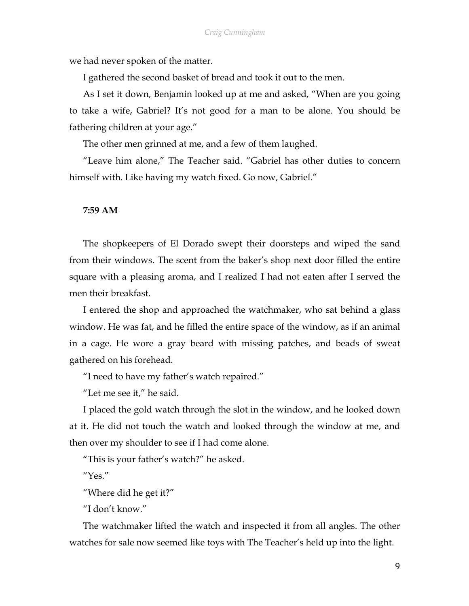we had never spoken of the matter.

I gathered the second basket of bread and took it out to the men.

As I set it down, Benjamin looked up at me and asked, "When are you going to take a wife, Gabriel? It's not good for a man to be alone. You should be fathering children at your age."

The other men grinned at me, and a few of them laughed.

"Leave him alone," The Teacher said. "Gabriel has other duties to concern himself with. Like having my watch fixed. Go now, Gabriel."

#### **7:59 AM**

The shopkeepers of El Dorado swept their doorsteps and wiped the sand from their windows. The scent from the baker's shop next door filled the entire square with a pleasing aroma, and I realized I had not eaten after I served the men their breakfast.

I entered the shop and approached the watchmaker, who sat behind a glass window. He was fat, and he filled the entire space of the window, as if an animal in a cage. He wore a gray beard with missing patches, and beads of sweat gathered on his forehead.

"I need to have my father's watch repaired."

"Let me see it," he said.

I placed the gold watch through the slot in the window, and he looked down at it. He did not touch the watch and looked through the window at me, and then over my shoulder to see if I had come alone.

"This is your father's watch?" he asked.

"Yes."

"Where did he get it?"

"I don't know."

The watchmaker lifted the watch and inspected it from all angles. The other watches for sale now seemed like toys with The Teacher's held up into the light.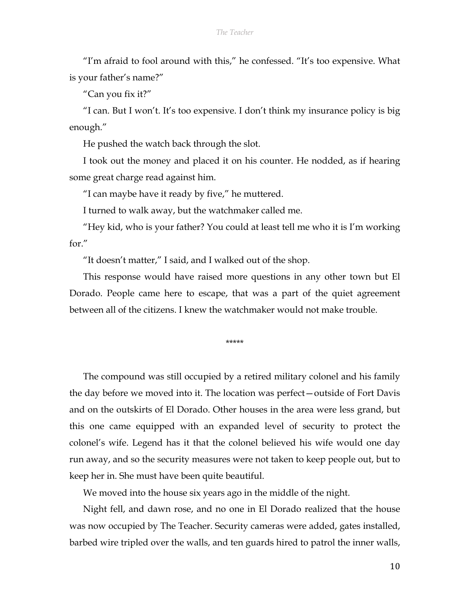"I'm afraid to fool around with this," he confessed. "It's too expensive. What is your father's name?"

"Can you fix it?"

"I can. But I won't. It's too expensive. I don't think my insurance policy is big enough."

He pushed the watch back through the slot.

I took out the money and placed it on his counter. He nodded, as if hearing some great charge read against him.

"I can maybe have it ready by five," he muttered.

I turned to walk away, but the watchmaker called me.

"Hey kid, who is your father? You could at least tell me who it is I'm working for."

"It doesn't matter," I said, and I walked out of the shop.

This response would have raised more questions in any other town but El Dorado. People came here to escape, that was a part of the quiet agreement between all of the citizens. I knew the watchmaker would not make trouble.

\*\*\*\*\*

The compound was still occupied by a retired military colonel and his family the day before we moved into it. The location was perfect—outside of Fort Davis and on the outskirts of El Dorado. Other houses in the area were less grand, but this one came equipped with an expanded level of security to protect the colonel's wife. Legend has it that the colonel believed his wife would one day run away, and so the security measures were not taken to keep people out, but to keep her in. She must have been quite beautiful.

We moved into the house six years ago in the middle of the night.

Night fell, and dawn rose, and no one in El Dorado realized that the house was now occupied by The Teacher. Security cameras were added, gates installed, barbed wire tripled over the walls, and ten guards hired to patrol the inner walls,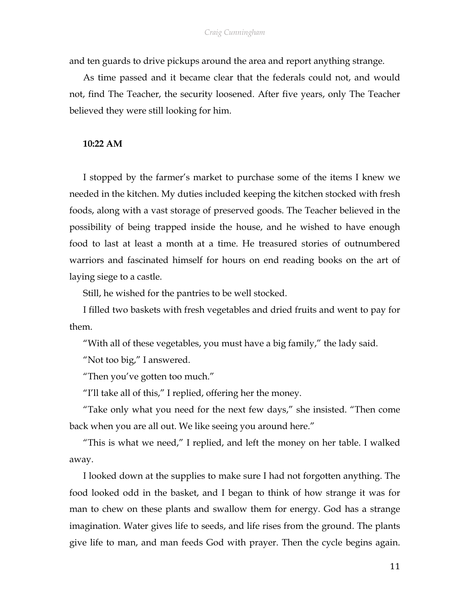#### *Craig Cunningham*

and ten guards to drive pickups around the area and report anything strange.

As time passed and it became clear that the federals could not, and would not, find The Teacher, the security loosened. After five years, only The Teacher believed they were still looking for him.

# **10:22 AM**

I stopped by the farmer's market to purchase some of the items I knew we needed in the kitchen. My duties included keeping the kitchen stocked with fresh foods, along with a vast storage of preserved goods. The Teacher believed in the possibility of being trapped inside the house, and he wished to have enough food to last at least a month at a time. He treasured stories of outnumbered warriors and fascinated himself for hours on end reading books on the art of laying siege to a castle.

Still, he wished for the pantries to be well stocked.

I filled two baskets with fresh vegetables and dried fruits and went to pay for them.

"With all of these vegetables, you must have a big family," the lady said.

"Not too big," I answered.

"Then you've gotten too much."

"I'll take all of this," I replied, offering her the money.

"Take only what you need for the next few days," she insisted. "Then come back when you are all out. We like seeing you around here."

"This is what we need," I replied, and left the money on her table. I walked away.

I looked down at the supplies to make sure I had not forgotten anything. The food looked odd in the basket, and I began to think of how strange it was for man to chew on these plants and swallow them for energy. God has a strange imagination. Water gives life to seeds, and life rises from the ground. The plants give life to man, and man feeds God with prayer. Then the cycle begins again.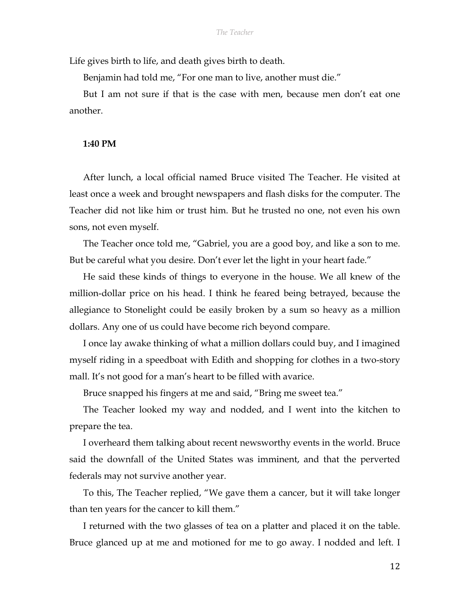Life gives birth to life, and death gives birth to death.

Benjamin had told me, "For one man to live, another must die."

But I am not sure if that is the case with men, because men don't eat one another.

## **1:40 PM**

After lunch, a local official named Bruce visited The Teacher. He visited at least once a week and brought newspapers and flash disks for the computer. The Teacher did not like him or trust him. But he trusted no one, not even his own sons, not even myself.

The Teacher once told me, "Gabriel, you are a good boy, and like a son to me. But be careful what you desire. Don't ever let the light in your heart fade."

He said these kinds of things to everyone in the house. We all knew of the million-dollar price on his head. I think he feared being betrayed, because the allegiance to Stonelight could be easily broken by a sum so heavy as a million dollars. Any one of us could have become rich beyond compare.

I once lay awake thinking of what a million dollars could buy, and I imagined myself riding in a speedboat with Edith and shopping for clothes in a two-story mall. It's not good for a man's heart to be filled with avarice.

Bruce snapped his fingers at me and said, "Bring me sweet tea."

The Teacher looked my way and nodded, and I went into the kitchen to prepare the tea.

I overheard them talking about recent newsworthy events in the world. Bruce said the downfall of the United States was imminent, and that the perverted federals may not survive another year.

To this, The Teacher replied, "We gave them a cancer, but it will take longer than ten years for the cancer to kill them."

I returned with the two glasses of tea on a platter and placed it on the table. Bruce glanced up at me and motioned for me to go away. I nodded and left. I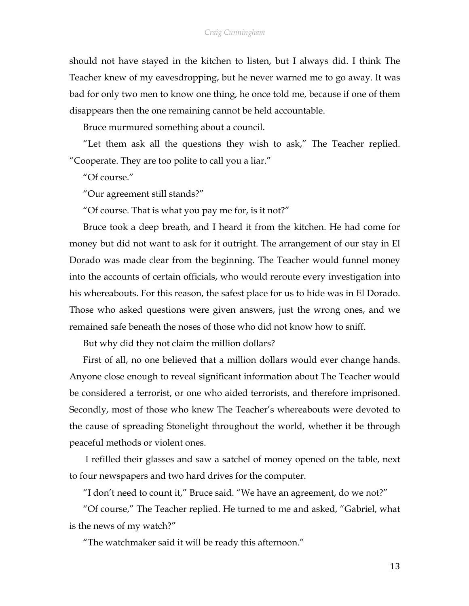should not have stayed in the kitchen to listen, but I always did. I think The Teacher knew of my eavesdropping, but he never warned me to go away. It was bad for only two men to know one thing, he once told me, because if one of them disappears then the one remaining cannot be held accountable.

Bruce murmured something about a council.

"Let them ask all the questions they wish to ask," The Teacher replied. "Cooperate. They are too polite to call you a liar."

"Of course."

"Our agreement still stands?"

"Of course. That is what you pay me for, is it not?"

Bruce took a deep breath, and I heard it from the kitchen. He had come for money but did not want to ask for it outright. The arrangement of our stay in El Dorado was made clear from the beginning. The Teacher would funnel money into the accounts of certain officials, who would reroute every investigation into his whereabouts. For this reason, the safest place for us to hide was in El Dorado. Those who asked questions were given answers, just the wrong ones, and we remained safe beneath the noses of those who did not know how to sniff.

But why did they not claim the million dollars?

First of all, no one believed that a million dollars would ever change hands. Anyone close enough to reveal significant information about The Teacher would be considered a terrorist, or one who aided terrorists, and therefore imprisoned. Secondly, most of those who knew The Teacher's whereabouts were devoted to the cause of spreading Stonelight throughout the world, whether it be through peaceful methods or violent ones.

I refilled their glasses and saw a satchel of money opened on the table, next to four newspapers and two hard drives for the computer.

"I don't need to count it," Bruce said. "We have an agreement, do we not?"

"Of course," The Teacher replied. He turned to me and asked, "Gabriel, what is the news of my watch?"

"The watchmaker said it will be ready this afternoon."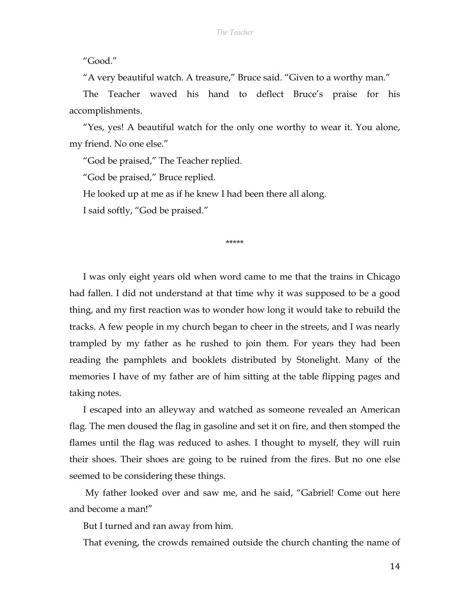"Good."

"A very beautiful watch. A treasure," Bruce said. "Given to a worthy man."

The Teacher waved his hand to deflect Bruce's praise for his accomplishments.

"Yes, yes! A beautiful watch for the only one worthy to wear it. You alone, my friend. No one else."

"God be praised," The Teacher replied.

"God be praised," Bruce replied.

He looked up at me as if he knew I had been there all along.

I said softly, "God be praised."

#### \*\*\*\*\*

I was only eight years old when word came to me that the trains in Chicago had fallen. I did not understand at that time why it was supposed to be a good thing, and my first reaction was to wonder how long it would take to rebuild the tracks. A few people in my church began to cheer in the streets, and I was nearly trampled by my father as he rushed to join them. For years they had been reading the pamphlets and booklets distributed by Stonelight. Many of the memories I have of my father are of him sitting at the table flipping pages and taking notes.

I escaped into an alleyway and watched as someone revealed an American flag. The men doused the flag in gasoline and set it on fire, and then stomped the flames until the flag was reduced to ashes. I thought to myself, they will ruin their shoes. Their shoes are going to be ruined from the fires. But no one else seemed to be considering these things.

My father looked over and saw me, and he said, "Gabriel! Come out here and become a man!"

But I turned and ran away from him.

That evening, the crowds remained outside the church chanting the name of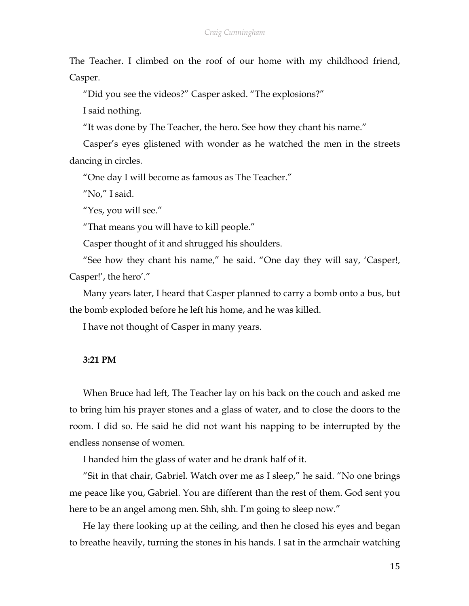The Teacher. I climbed on the roof of our home with my childhood friend, Casper.

"Did you see the videos?" Casper asked. "The explosions?"

I said nothing.

"It was done by The Teacher, the hero. See how they chant his name."

Casper's eyes glistened with wonder as he watched the men in the streets dancing in circles.

"One day I will become as famous as The Teacher."

"No," I said.

"Yes, you will see."

"That means you will have to kill people."

Casper thought of it and shrugged his shoulders.

"See how they chant his name," he said. "One day they will say, 'Casper!, Casper!', the hero'."

Many years later, I heard that Casper planned to carry a bomb onto a bus, but the bomb exploded before he left his home, and he was killed.

I have not thought of Casper in many years.

# **3:21 PM**

When Bruce had left, The Teacher lay on his back on the couch and asked me to bring him his prayer stones and a glass of water, and to close the doors to the room. I did so. He said he did not want his napping to be interrupted by the endless nonsense of women.

I handed him the glass of water and he drank half of it.

"Sit in that chair, Gabriel. Watch over me as I sleep," he said. "No one brings me peace like you, Gabriel. You are different than the rest of them. God sent you here to be an angel among men. Shh, shh. I'm going to sleep now."

He lay there looking up at the ceiling, and then he closed his eyes and began to breathe heavily, turning the stones in his hands. I sat in the armchair watching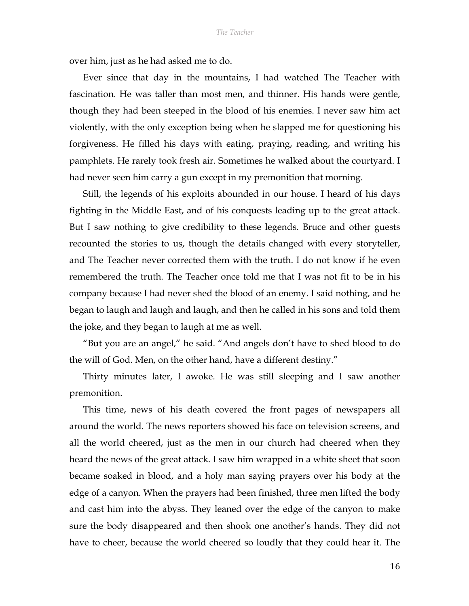over him, just as he had asked me to do.

Ever since that day in the mountains, I had watched The Teacher with fascination. He was taller than most men, and thinner. His hands were gentle, though they had been steeped in the blood of his enemies. I never saw him act violently, with the only exception being when he slapped me for questioning his forgiveness. He filled his days with eating, praying, reading, and writing his pamphlets. He rarely took fresh air. Sometimes he walked about the courtyard. I had never seen him carry a gun except in my premonition that morning.

Still, the legends of his exploits abounded in our house. I heard of his days fighting in the Middle East, and of his conquests leading up to the great attack. But I saw nothing to give credibility to these legends. Bruce and other guests recounted the stories to us, though the details changed with every storyteller, and The Teacher never corrected them with the truth. I do not know if he even remembered the truth. The Teacher once told me that I was not fit to be in his company because I had never shed the blood of an enemy. I said nothing, and he began to laugh and laugh and laugh, and then he called in his sons and told them the joke, and they began to laugh at me as well.

"But you are an angel," he said. "And angels don't have to shed blood to do the will of God. Men, on the other hand, have a different destiny."

Thirty minutes later, I awoke. He was still sleeping and I saw another premonition.

This time, news of his death covered the front pages of newspapers all around the world. The news reporters showed his face on television screens, and all the world cheered, just as the men in our church had cheered when they heard the news of the great attack. I saw him wrapped in a white sheet that soon became soaked in blood, and a holy man saying prayers over his body at the edge of a canyon. When the prayers had been finished, three men lifted the body and cast him into the abyss. They leaned over the edge of the canyon to make sure the body disappeared and then shook one another's hands. They did not have to cheer, because the world cheered so loudly that they could hear it. The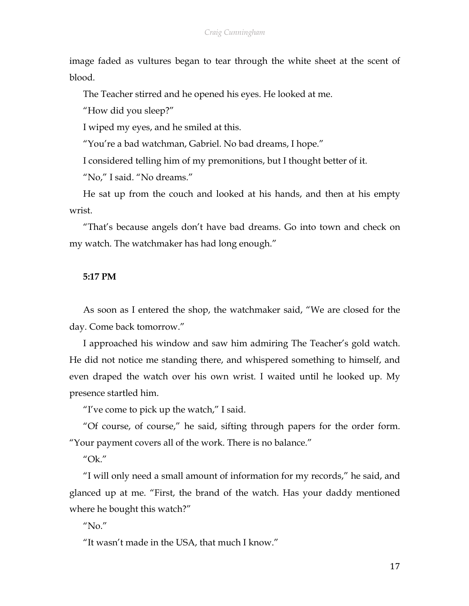#### *Craig Cunningham*

image faded as vultures began to tear through the white sheet at the scent of blood.

The Teacher stirred and he opened his eyes. He looked at me.

"How did you sleep?"

I wiped my eyes, and he smiled at this.

"You're a bad watchman, Gabriel. No bad dreams, I hope."

I considered telling him of my premonitions, but I thought better of it.

"No," I said. "No dreams."

He sat up from the couch and looked at his hands, and then at his empty wrist.

"That's because angels don't have bad dreams. Go into town and check on my watch. The watchmaker has had long enough."

#### **5:17 PM**

As soon as I entered the shop, the watchmaker said, "We are closed for the day. Come back tomorrow."

I approached his window and saw him admiring The Teacher's gold watch. He did not notice me standing there, and whispered something to himself, and even draped the watch over his own wrist. I waited until he looked up. My presence startled him.

"I've come to pick up the watch," I said.

"Of course, of course," he said, sifting through papers for the order form. "Your payment covers all of the work. There is no balance."

# "Ok."

"I will only need a small amount of information for my records," he said, and glanced up at me. "First, the brand of the watch. Has your daddy mentioned where he bought this watch?"

 $''$ No."

"It wasn't made in the USA, that much I know."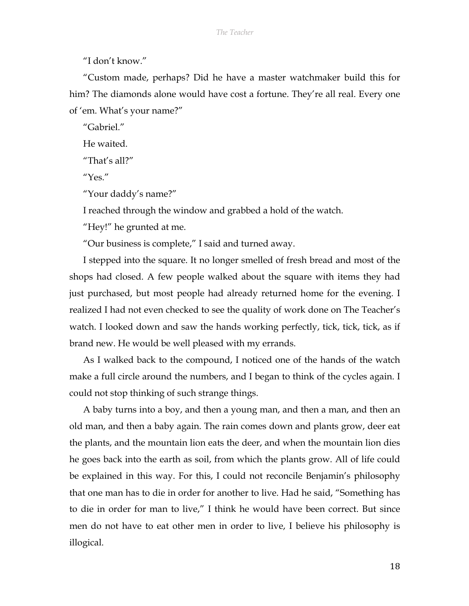"I don't know."

"Custom made, perhaps? Did he have a master watchmaker build this for him? The diamonds alone would have cost a fortune. They're all real. Every one of 'em. What's your name?"

"Gabriel."

He waited.

"That's all?"

"Yes."

"Your daddy's name?"

I reached through the window and grabbed a hold of the watch.

"Hey!" he grunted at me.

"Our business is complete," I said and turned away.

I stepped into the square. It no longer smelled of fresh bread and most of the shops had closed. A few people walked about the square with items they had just purchased, but most people had already returned home for the evening. I realized I had not even checked to see the quality of work done on The Teacher's watch. I looked down and saw the hands working perfectly, tick, tick, tick, as if brand new. He would be well pleased with my errands.

As I walked back to the compound, I noticed one of the hands of the watch make a full circle around the numbers, and I began to think of the cycles again. I could not stop thinking of such strange things.

A baby turns into a boy, and then a young man, and then a man, and then an old man, and then a baby again. The rain comes down and plants grow, deer eat the plants, and the mountain lion eats the deer, and when the mountain lion dies he goes back into the earth as soil, from which the plants grow. All of life could be explained in this way. For this, I could not reconcile Benjamin's philosophy that one man has to die in order for another to live. Had he said, "Something has to die in order for man to live," I think he would have been correct. But since men do not have to eat other men in order to live, I believe his philosophy is illogical.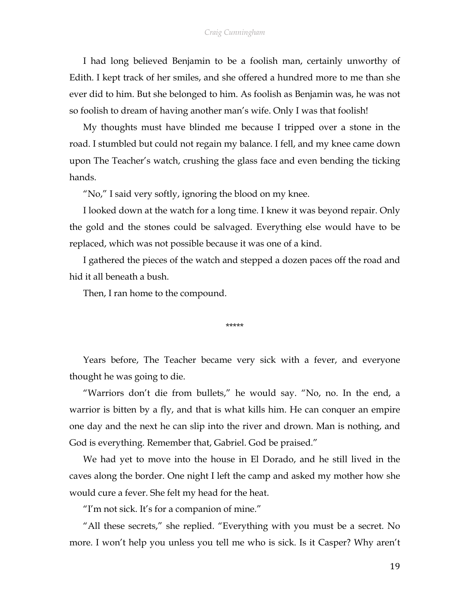#### *Craig Cunningham*

I had long believed Benjamin to be a foolish man, certainly unworthy of Edith. I kept track of her smiles, and she offered a hundred more to me than she ever did to him. But she belonged to him. As foolish as Benjamin was, he was not so foolish to dream of having another man's wife. Only I was that foolish!

My thoughts must have blinded me because I tripped over a stone in the road. I stumbled but could not regain my balance. I fell, and my knee came down upon The Teacher's watch, crushing the glass face and even bending the ticking hands.

"No," I said very softly, ignoring the blood on my knee.

I looked down at the watch for a long time. I knew it was beyond repair. Only the gold and the stones could be salvaged. Everything else would have to be replaced, which was not possible because it was one of a kind.

I gathered the pieces of the watch and stepped a dozen paces off the road and hid it all beneath a bush.

Then, I ran home to the compound.

#### \*\*\*\*\*

Years before, The Teacher became very sick with a fever, and everyone thought he was going to die.

"Warriors don't die from bullets," he would say. "No, no. In the end, a warrior is bitten by a fly, and that is what kills him. He can conquer an empire one day and the next he can slip into the river and drown. Man is nothing, and God is everything. Remember that, Gabriel. God be praised."

We had yet to move into the house in El Dorado, and he still lived in the caves along the border. One night I left the camp and asked my mother how she would cure a fever. She felt my head for the heat.

"I'm not sick. It's for a companion of mine."

"All these secrets," she replied. "Everything with you must be a secret. No more. I won't help you unless you tell me who is sick. Is it Casper? Why aren't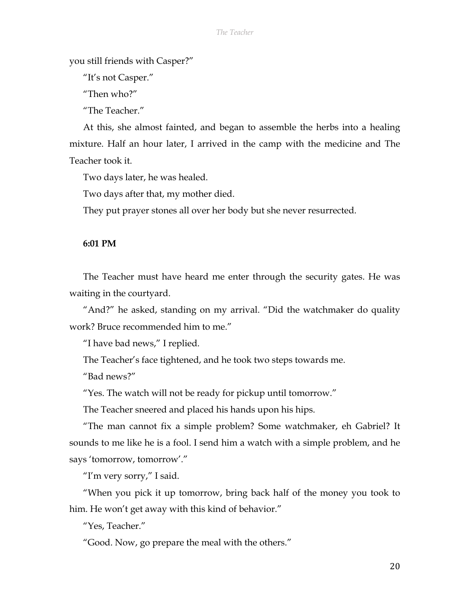you still friends with Casper?"

"It's not Casper."

"Then who?"

"The Teacher."

At this, she almost fainted, and began to assemble the herbs into a healing mixture. Half an hour later, I arrived in the camp with the medicine and The Teacher took it.

Two days later, he was healed.

Two days after that, my mother died.

They put prayer stones all over her body but she never resurrected.

# **6:01 PM**

The Teacher must have heard me enter through the security gates. He was waiting in the courtyard.

"And?" he asked, standing on my arrival. "Did the watchmaker do quality work? Bruce recommended him to me."

"I have bad news," I replied.

The Teacher's face tightened, and he took two steps towards me.

"Bad news?"

"Yes. The watch will not be ready for pickup until tomorrow."

The Teacher sneered and placed his hands upon his hips.

"The man cannot fix a simple problem? Some watchmaker, eh Gabriel? It sounds to me like he is a fool. I send him a watch with a simple problem, and he says 'tomorrow, tomorrow'."

"I'm very sorry," I said.

"When you pick it up tomorrow, bring back half of the money you took to him. He won't get away with this kind of behavior."

"Yes, Teacher."

"Good. Now, go prepare the meal with the others."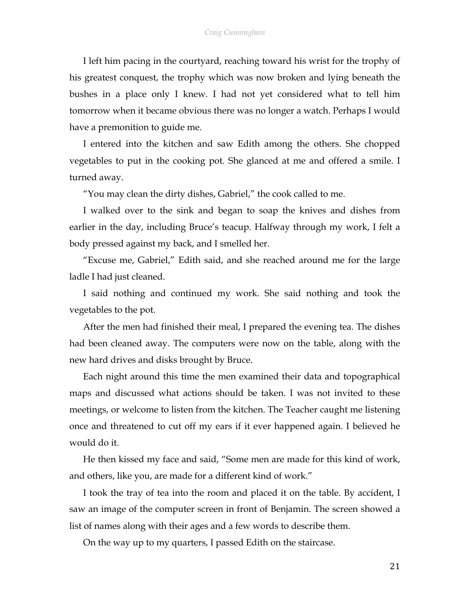I left him pacing in the courtyard, reaching toward his wrist for the trophy of his greatest conquest, the trophy which was now broken and lying beneath the bushes in a place only I knew. I had not yet considered what to tell him tomorrow when it became obvious there was no longer a watch. Perhaps I would have a premonition to guide me.

I entered into the kitchen and saw Edith among the others. She chopped vegetables to put in the cooking pot. She glanced at me and offered a smile. I turned away.

"You may clean the dirty dishes, Gabriel," the cook called to me.

I walked over to the sink and began to soap the knives and dishes from earlier in the day, including Bruce's teacup. Halfway through my work, I felt a body pressed against my back, and I smelled her.

"Excuse me, Gabriel," Edith said, and she reached around me for the large ladle I had just cleaned.

I said nothing and continued my work. She said nothing and took the vegetables to the pot.

After the men had finished their meal, I prepared the evening tea. The dishes had been cleaned away. The computers were now on the table, along with the new hard drives and disks brought by Bruce.

Each night around this time the men examined their data and topographical maps and discussed what actions should be taken. I was not invited to these meetings, or welcome to listen from the kitchen. The Teacher caught me listening once and threatened to cut off my ears if it ever happened again. I believed he would do it.

He then kissed my face and said, "Some men are made for this kind of work, and others, like you, are made for a different kind of work."

I took the tray of tea into the room and placed it on the table. By accident, I saw an image of the computer screen in front of Benjamin. The screen showed a list of names along with their ages and a few words to describe them.

On the way up to my quarters, I passed Edith on the staircase.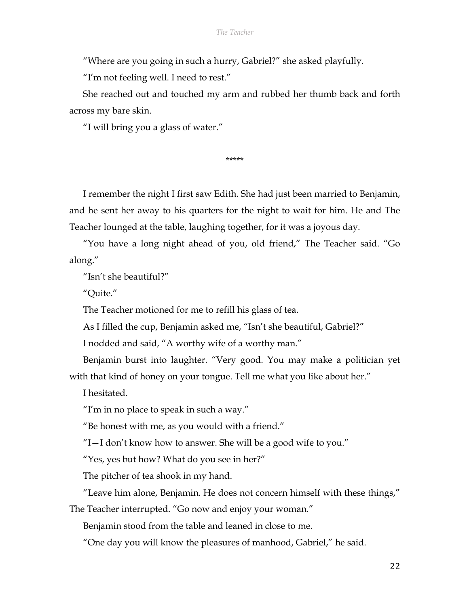"Where are you going in such a hurry, Gabriel?" she asked playfully.

"I'm not feeling well. I need to rest."

She reached out and touched my arm and rubbed her thumb back and forth across my bare skin.

"I will bring you a glass of water."

\*\*\*\*\*

I remember the night I first saw Edith. She had just been married to Benjamin, and he sent her away to his quarters for the night to wait for him. He and The Teacher lounged at the table, laughing together, for it was a joyous day.

"You have a long night ahead of you, old friend," The Teacher said. "Go along."

"Isn't she beautiful?"

"Quite."

The Teacher motioned for me to refill his glass of tea.

As I filled the cup, Benjamin asked me, "Isn't she beautiful, Gabriel?"

I nodded and said, "A worthy wife of a worthy man."

Benjamin burst into laughter. "Very good. You may make a politician yet with that kind of honey on your tongue. Tell me what you like about her."

I hesitated.

"I'm in no place to speak in such a way."

"Be honest with me, as you would with a friend."

"I—I don't know how to answer. She will be a good wife to you."

"Yes, yes but how? What do you see in her?"

The pitcher of tea shook in my hand.

"Leave him alone, Benjamin. He does not concern himself with these things,"

The Teacher interrupted. "Go now and enjoy your woman."

Benjamin stood from the table and leaned in close to me.

"One day you will know the pleasures of manhood, Gabriel," he said.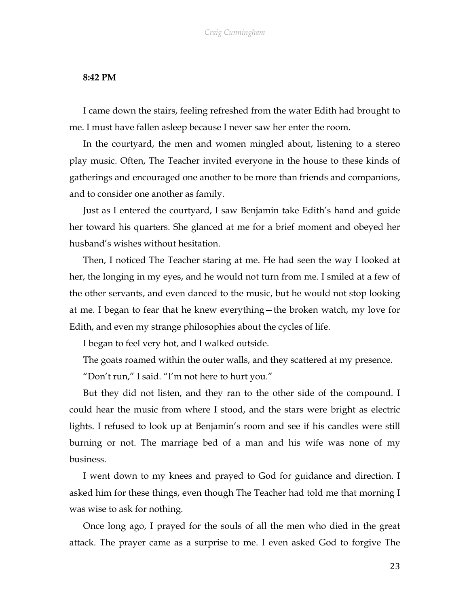## **8:42 PM**

I came down the stairs, feeling refreshed from the water Edith had brought to me. I must have fallen asleep because I never saw her enter the room.

In the courtyard, the men and women mingled about, listening to a stereo play music. Often, The Teacher invited everyone in the house to these kinds of gatherings and encouraged one another to be more than friends and companions, and to consider one another as family.

Just as I entered the courtyard, I saw Benjamin take Edith's hand and guide her toward his quarters. She glanced at me for a brief moment and obeyed her husband's wishes without hesitation.

Then, I noticed The Teacher staring at me. He had seen the way I looked at her, the longing in my eyes, and he would not turn from me. I smiled at a few of the other servants, and even danced to the music, but he would not stop looking at me. I began to fear that he knew everything—the broken watch, my love for Edith, and even my strange philosophies about the cycles of life.

I began to feel very hot, and I walked outside.

The goats roamed within the outer walls, and they scattered at my presence.

"Don't run," I said. "I'm not here to hurt you."

But they did not listen, and they ran to the other side of the compound. I could hear the music from where I stood, and the stars were bright as electric lights. I refused to look up at Benjamin's room and see if his candles were still burning or not. The marriage bed of a man and his wife was none of my business.

I went down to my knees and prayed to God for guidance and direction. I asked him for these things, even though The Teacher had told me that morning I was wise to ask for nothing.

Once long ago, I prayed for the souls of all the men who died in the great attack. The prayer came as a surprise to me. I even asked God to forgive The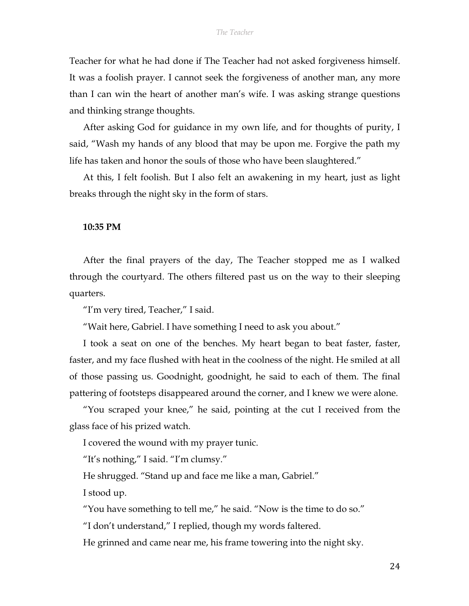Teacher for what he had done if The Teacher had not asked forgiveness himself. It was a foolish prayer. I cannot seek the forgiveness of another man, any more than I can win the heart of another man's wife. I was asking strange questions and thinking strange thoughts.

After asking God for guidance in my own life, and for thoughts of purity, I said, "Wash my hands of any blood that may be upon me. Forgive the path my life has taken and honor the souls of those who have been slaughtered."

At this, I felt foolish. But I also felt an awakening in my heart, just as light breaks through the night sky in the form of stars.

#### **10:35 PM**

After the final prayers of the day, The Teacher stopped me as I walked through the courtyard. The others filtered past us on the way to their sleeping quarters.

"I'm very tired, Teacher," I said.

"Wait here, Gabriel. I have something I need to ask you about."

I took a seat on one of the benches. My heart began to beat faster, faster, faster, and my face flushed with heat in the coolness of the night. He smiled at all of those passing us. Goodnight, goodnight, he said to each of them. The final pattering of footsteps disappeared around the corner, and I knew we were alone.

"You scraped your knee," he said, pointing at the cut I received from the glass face of his prized watch.

I covered the wound with my prayer tunic.

"It's nothing," I said. "I'm clumsy."

He shrugged. "Stand up and face me like a man, Gabriel."

I stood up.

"You have something to tell me," he said. "Now is the time to do so."

"I don't understand," I replied, though my words faltered.

He grinned and came near me, his frame towering into the night sky.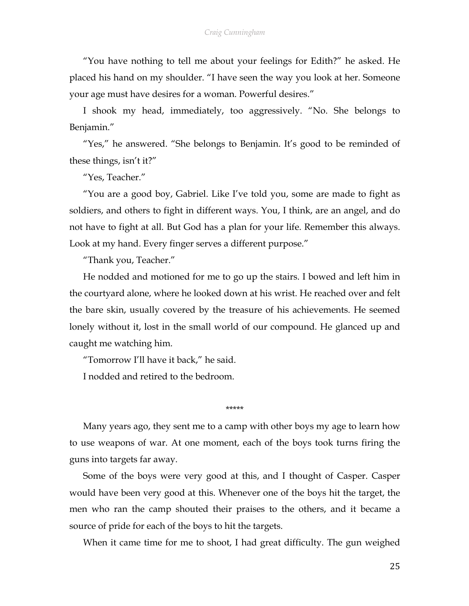"You have nothing to tell me about your feelings for Edith?" he asked. He placed his hand on my shoulder. "I have seen the way you look at her. Someone your age must have desires for a woman. Powerful desires."

I shook my head, immediately, too aggressively. "No. She belongs to Benjamin."

"Yes," he answered. "She belongs to Benjamin. It's good to be reminded of these things, isn't it?"

"Yes, Teacher."

"You are a good boy, Gabriel. Like I've told you, some are made to fight as soldiers, and others to fight in different ways. You, I think, are an angel, and do not have to fight at all. But God has a plan for your life. Remember this always. Look at my hand. Every finger serves a different purpose."

"Thank you, Teacher."

He nodded and motioned for me to go up the stairs. I bowed and left him in the courtyard alone, where he looked down at his wrist. He reached over and felt the bare skin, usually covered by the treasure of his achievements. He seemed lonely without it, lost in the small world of our compound. He glanced up and caught me watching him.

"Tomorrow I'll have it back," he said.

I nodded and retired to the bedroom.

\*\*\*\*\*

Many years ago, they sent me to a camp with other boys my age to learn how to use weapons of war. At one moment, each of the boys took turns firing the guns into targets far away.

Some of the boys were very good at this, and I thought of Casper. Casper would have been very good at this. Whenever one of the boys hit the target, the men who ran the camp shouted their praises to the others, and it became a source of pride for each of the boys to hit the targets.

When it came time for me to shoot, I had great difficulty. The gun weighed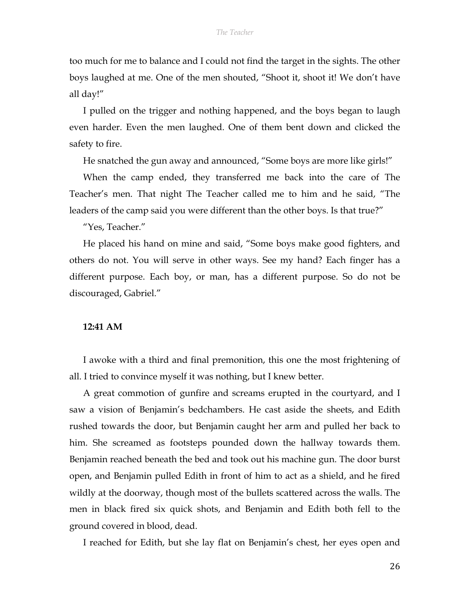too much for me to balance and I could not find the target in the sights. The other boys laughed at me. One of the men shouted, "Shoot it, shoot it! We don't have all day!"

I pulled on the trigger and nothing happened, and the boys began to laugh even harder. Even the men laughed. One of them bent down and clicked the safety to fire.

He snatched the gun away and announced, "Some boys are more like girls!"

When the camp ended, they transferred me back into the care of The Teacher's men. That night The Teacher called me to him and he said, "The leaders of the camp said you were different than the other boys. Is that true?"

"Yes, Teacher."

He placed his hand on mine and said, "Some boys make good fighters, and others do not. You will serve in other ways. See my hand? Each finger has a different purpose. Each boy, or man, has a different purpose. So do not be discouraged, Gabriel."

#### **12:41 AM**

I awoke with a third and final premonition, this one the most frightening of all. I tried to convince myself it was nothing, but I knew better.

A great commotion of gunfire and screams erupted in the courtyard, and I saw a vision of Benjamin's bedchambers. He cast aside the sheets, and Edith rushed towards the door, but Benjamin caught her arm and pulled her back to him. She screamed as footsteps pounded down the hallway towards them. Benjamin reached beneath the bed and took out his machine gun. The door burst open, and Benjamin pulled Edith in front of him to act as a shield, and he fired wildly at the doorway, though most of the bullets scattered across the walls. The men in black fired six quick shots, and Benjamin and Edith both fell to the ground covered in blood, dead.

I reached for Edith, but she lay flat on Benjamin's chest, her eyes open and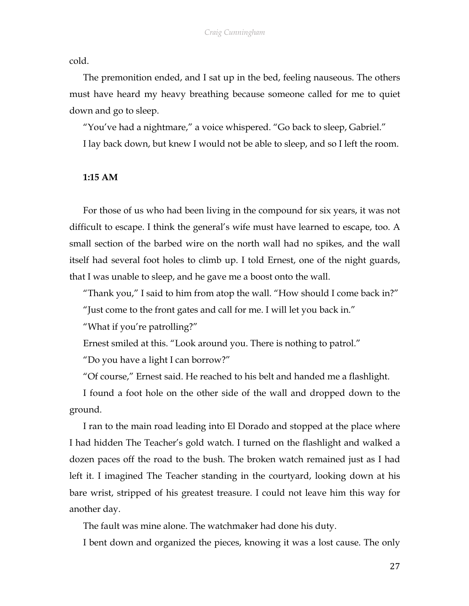cold.

The premonition ended, and I sat up in the bed, feeling nauseous. The others must have heard my heavy breathing because someone called for me to quiet down and go to sleep.

"You've had a nightmare," a voice whispered. "Go back to sleep, Gabriel." I lay back down, but knew I would not be able to sleep, and so I left the room.

# **1:15 AM**

For those of us who had been living in the compound for six years, it was not difficult to escape. I think the general's wife must have learned to escape, too. A small section of the barbed wire on the north wall had no spikes, and the wall itself had several foot holes to climb up. I told Ernest, one of the night guards, that I was unable to sleep, and he gave me a boost onto the wall.

"Thank you," I said to him from atop the wall. "How should I come back in?" "Just come to the front gates and call for me. I will let you back in."

"What if you're patrolling?"

Ernest smiled at this. "Look around you. There is nothing to patrol."

"Do you have a light I can borrow?"

"Of course," Ernest said. He reached to his belt and handed me a flashlight.

I found a foot hole on the other side of the wall and dropped down to the ground.

I ran to the main road leading into El Dorado and stopped at the place where I had hidden The Teacher's gold watch. I turned on the flashlight and walked a dozen paces off the road to the bush. The broken watch remained just as I had left it. I imagined The Teacher standing in the courtyard, looking down at his bare wrist, stripped of his greatest treasure. I could not leave him this way for another day.

The fault was mine alone. The watchmaker had done his duty.

I bent down and organized the pieces, knowing it was a lost cause. The only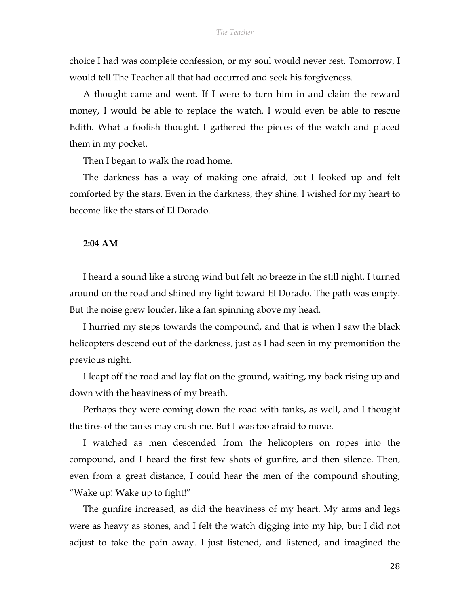choice I had was complete confession, or my soul would never rest. Tomorrow, I would tell The Teacher all that had occurred and seek his forgiveness.

A thought came and went. If I were to turn him in and claim the reward money, I would be able to replace the watch. I would even be able to rescue Edith. What a foolish thought. I gathered the pieces of the watch and placed them in my pocket.

Then I began to walk the road home.

The darkness has a way of making one afraid, but I looked up and felt comforted by the stars. Even in the darkness, they shine. I wished for my heart to become like the stars of El Dorado.

## **2:04 AM**

I heard a sound like a strong wind but felt no breeze in the still night. I turned around on the road and shined my light toward El Dorado. The path was empty. But the noise grew louder, like a fan spinning above my head.

I hurried my steps towards the compound, and that is when I saw the black helicopters descend out of the darkness, just as I had seen in my premonition the previous night.

I leapt off the road and lay flat on the ground, waiting, my back rising up and down with the heaviness of my breath.

Perhaps they were coming down the road with tanks, as well, and I thought the tires of the tanks may crush me. But I was too afraid to move.

I watched as men descended from the helicopters on ropes into the compound, and I heard the first few shots of gunfire, and then silence. Then, even from a great distance, I could hear the men of the compound shouting, "Wake up! Wake up to fight!"

The gunfire increased, as did the heaviness of my heart. My arms and legs were as heavy as stones, and I felt the watch digging into my hip, but I did not adjust to take the pain away. I just listened, and listened, and imagined the